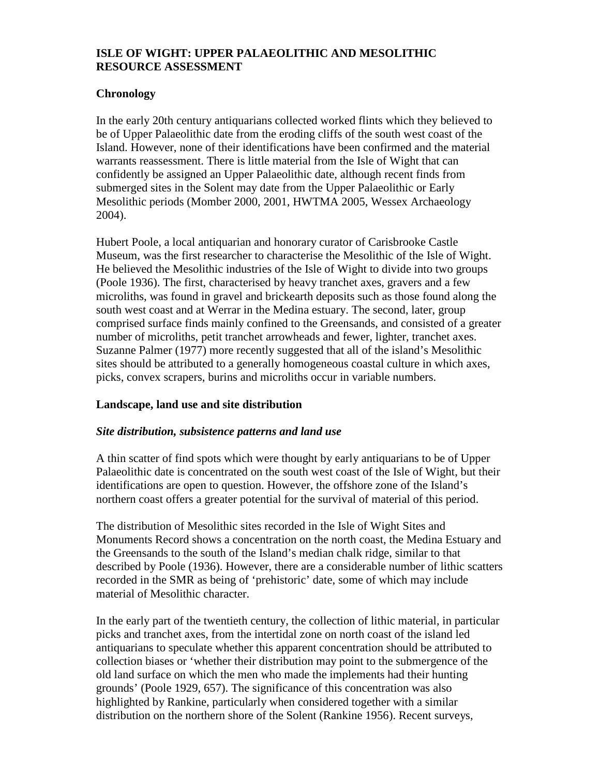# **ISLE OF WIGHT: UPPER PALAEOLITHIC AND MESOLITHIC RESOURCE ASSESSMENT**

## **Chronology**

In the early 20th century antiquarians collected worked flints which they believed to be of Upper Palaeolithic date from the eroding cliffs of the south west coast of the Island. However, none of their identifications have been confirmed and the material warrants reassessment. There is little material from the Isle of Wight that can confidently be assigned an Upper Palaeolithic date, although recent finds from submerged sites in the Solent may date from the Upper Palaeolithic or Early Mesolithic periods (Momber 2000, 2001, HWTMA 2005, Wessex Archaeology 2004).

Hubert Poole, a local antiquarian and honorary curator of Carisbrooke Castle Museum, was the first researcher to characterise the Mesolithic of the Isle of Wight. He believed the Mesolithic industries of the Isle of Wight to divide into two groups (Poole 1936). The first, characterised by heavy tranchet axes, gravers and a few microliths, was found in gravel and brickearth deposits such as those found along the south west coast and at Werrar in the Medina estuary. The second, later, group comprised surface finds mainly confined to the Greensands, and consisted of a greater number of microliths, petit tranchet arrowheads and fewer, lighter, tranchet axes. Suzanne Palmer (1977) more recently suggested that all of the island's Mesolithic sites should be attributed to a generally homogeneous coastal culture in which axes, picks, convex scrapers, burins and microliths occur in variable numbers.

## **Landscape, land use and site distribution**

## *Site distribution, subsistence patterns and land use*

A thin scatter of find spots which were thought by early antiquarians to be of Upper Palaeolithic date is concentrated on the south west coast of the Isle of Wight, but their identifications are open to question. However, the offshore zone of the Island's northern coast offers a greater potential for the survival of material of this period.

The distribution of Mesolithic sites recorded in the Isle of Wight Sites and Monuments Record shows a concentration on the north coast, the Medina Estuary and the Greensands to the south of the Island's median chalk ridge, similar to that described by Poole (1936). However, there are a considerable number of lithic scatters recorded in the SMR as being of 'prehistoric' date, some of which may include material of Mesolithic character.

In the early part of the twentieth century, the collection of lithic material, in particular picks and tranchet axes, from the intertidal zone on north coast of the island led antiquarians to speculate whether this apparent concentration should be attributed to collection biases or 'whether their distribution may point to the submergence of the old land surface on which the men who made the implements had their hunting grounds' (Poole 1929, 657). The significance of this concentration was also highlighted by Rankine, particularly when considered together with a similar distribution on the northern shore of the Solent (Rankine 1956). Recent surveys,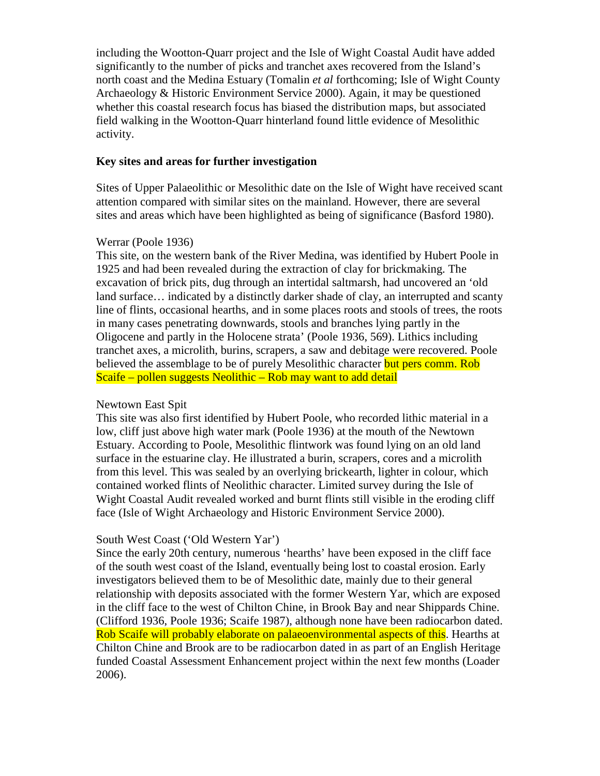including the Wootton-Quarr project and the Isle of Wight Coastal Audit have added significantly to the number of picks and tranchet axes recovered from the Island's north coast and the Medina Estuary (Tomalin *et al* forthcoming; Isle of Wight County Archaeology & Historic Environment Service 2000). Again, it may be questioned whether this coastal research focus has biased the distribution maps, but associated field walking in the Wootton-Quarr hinterland found little evidence of Mesolithic activity.

## **Key sites and areas for further investigation**

Sites of Upper Palaeolithic or Mesolithic date on the Isle of Wight have received scant attention compared with similar sites on the mainland. However, there are several sites and areas which have been highlighted as being of significance (Basford 1980).

## Werrar (Poole 1936)

This site, on the western bank of the River Medina, was identified by Hubert Poole in 1925 and had been revealed during the extraction of clay for brickmaking. The excavation of brick pits, dug through an intertidal saltmarsh, had uncovered an 'old land surface... indicated by a distinctly darker shade of clay, an interrupted and scanty line of flints, occasional hearths, and in some places roots and stools of trees, the roots in many cases penetrating downwards, stools and branches lying partly in the Oligocene and partly in the Holocene strata' (Poole 1936, 569). Lithics including tranchet axes, a microlith, burins, scrapers, a saw and debitage were recovered. Poole believed the assemblage to be of purely Mesolithic character but pers comm. Rob Scaife – pollen suggests Neolithic – Rob may want to add detail

## Newtown East Spit

This site was also first identified by Hubert Poole, who recorded lithic material in a low, cliff just above high water mark (Poole 1936) at the mouth of the Newtown Estuary. According to Poole, Mesolithic flintwork was found lying on an old land surface in the estuarine clay. He illustrated a burin, scrapers, cores and a microlith from this level. This was sealed by an overlying brickearth, lighter in colour, which contained worked flints of Neolithic character. Limited survey during the Isle of Wight Coastal Audit revealed worked and burnt flints still visible in the eroding cliff face (Isle of Wight Archaeology and Historic Environment Service 2000).

#### South West Coast ('Old Western Yar')

Since the early 20th century, numerous 'hearths' have been exposed in the cliff face of the south west coast of the Island, eventually being lost to coastal erosion. Early investigators believed them to be of Mesolithic date, mainly due to their general relationship with deposits associated with the former Western Yar, which are exposed in the cliff face to the west of Chilton Chine, in Brook Bay and near Shippards Chine. (Clifford 1936, Poole 1936; Scaife 1987), although none have been radiocarbon dated. Rob Scaife will probably elaborate on palaeoenvironmental aspects of this. Hearths at Chilton Chine and Brook are to be radiocarbon dated in as part of an English Heritage funded Coastal Assessment Enhancement project within the next few months (Loader 2006).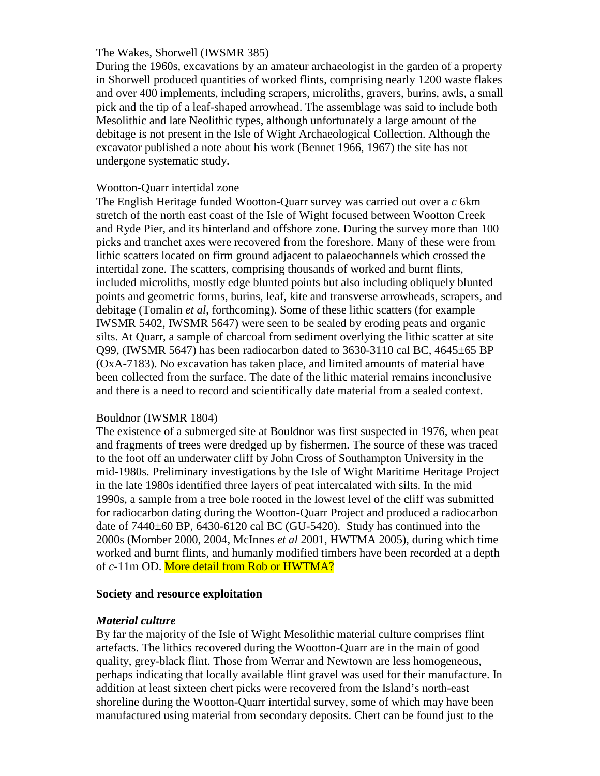#### The Wakes, Shorwell (IWSMR 385)

During the 1960s, excavations by an amateur archaeologist in the garden of a property in Shorwell produced quantities of worked flints, comprising nearly 1200 waste flakes and over 400 implements, including scrapers, microliths, gravers, burins, awls, a small pick and the tip of a leaf-shaped arrowhead. The assemblage was said to include both Mesolithic and late Neolithic types, although unfortunately a large amount of the debitage is not present in the Isle of Wight Archaeological Collection. Although the excavator published a note about his work (Bennet 1966, 1967) the site has not undergone systematic study.

## Wootton-Quarr intertidal zone

The English Heritage funded Wootton-Quarr survey was carried out over a *c* 6km stretch of the north east coast of the Isle of Wight focused between Wootton Creek and Ryde Pier, and its hinterland and offshore zone. During the survey more than 100 picks and tranchet axes were recovered from the foreshore. Many of these were from lithic scatters located on firm ground adjacent to palaeochannels which crossed the intertidal zone. The scatters, comprising thousands of worked and burnt flints, included microliths, mostly edge blunted points but also including obliquely blunted points and geometric forms, burins, leaf, kite and transverse arrowheads, scrapers, and debitage (Tomalin *et al*, forthcoming). Some of these lithic scatters (for example IWSMR 5402, IWSMR 5647) were seen to be sealed by eroding peats and organic silts. At Quarr, a sample of charcoal from sediment overlying the lithic scatter at site Q99, (IWSMR 5647) has been radiocarbon dated to 3630-3110 cal BC, 4645±65 BP (OxA-7183). No excavation has taken place, and limited amounts of material have been collected from the surface. The date of the lithic material remains inconclusive and there is a need to record and scientifically date material from a sealed context.

#### Bouldnor (IWSMR 1804)

The existence of a submerged site at Bouldnor was first suspected in 1976, when peat and fragments of trees were dredged up by fishermen. The source of these was traced to the foot off an underwater cliff by John Cross of Southampton University in the mid-1980s. Preliminary investigations by the Isle of Wight Maritime Heritage Project in the late 1980s identified three layers of peat intercalated with silts. In the mid 1990s, a sample from a tree bole rooted in the lowest level of the cliff was submitted for radiocarbon dating during the Wootton-Quarr Project and produced a radiocarbon date of 7440±60 BP, 6430-6120 cal BC (GU-5420). Study has continued into the 2000s (Momber 2000, 2004, McInnes *et al* 2001, HWTMA 2005), during which time worked and burnt flints, and humanly modified timbers have been recorded at a depth of *c*-11m OD. More detail from Rob or HWTMA?

## **Society and resource exploitation**

## *Material culture*

By far the majority of the Isle of Wight Mesolithic material culture comprises flint artefacts. The lithics recovered during the Wootton-Quarr are in the main of good quality, grey-black flint. Those from Werrar and Newtown are less homogeneous, perhaps indicating that locally available flint gravel was used for their manufacture. In addition at least sixteen chert picks were recovered from the Island's north-east shoreline during the Wootton-Quarr intertidal survey, some of which may have been manufactured using material from secondary deposits. Chert can be found just to the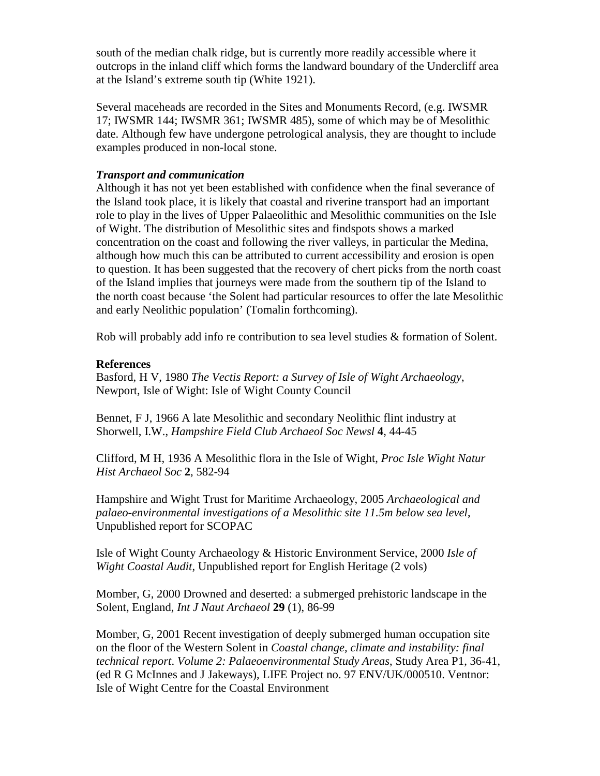south of the median chalk ridge, but is currently more readily accessible where it outcrops in the inland cliff which forms the landward boundary of the Undercliff area at the Island's extreme south tip (White 1921).

Several maceheads are recorded in the Sites and Monuments Record, (e.g. IWSMR 17; IWSMR 144; IWSMR 361; IWSMR 485), some of which may be of Mesolithic date. Although few have undergone petrological analysis, they are thought to include examples produced in non-local stone.

## *Transport and communication*

Although it has not yet been established with confidence when the final severance of the Island took place, it is likely that coastal and riverine transport had an important role to play in the lives of Upper Palaeolithic and Mesolithic communities on the Isle of Wight. The distribution of Mesolithic sites and findspots shows a marked concentration on the coast and following the river valleys, in particular the Medina, although how much this can be attributed to current accessibility and erosion is open to question. It has been suggested that the recovery of chert picks from the north coast of the Island implies that journeys were made from the southern tip of the Island to the north coast because 'the Solent had particular resources to offer the late Mesolithic and early Neolithic population' (Tomalin forthcoming).

Rob will probably add info re contribution to sea level studies & formation of Solent.

## **References**

Basford, H V, 1980 *The Vectis Report: a Survey of Isle of Wight Archaeology*, Newport, Isle of Wight: Isle of Wight County Council

Bennet, F J, 1966 A late Mesolithic and secondary Neolithic flint industry at Shorwell, I.W., *Hampshire Field Club Archaeol Soc Newsl* **4**, 44-45

Clifford, M H, 1936 A Mesolithic flora in the Isle of Wight, *Proc Isle Wight Natur Hist Archaeol Soc* **2**, 582-94

Hampshire and Wight Trust for Maritime Archaeology, 2005 *Archaeological and palaeo-environmental investigations of a Mesolithic site 11.5m below sea level*, Unpublished report for SCOPAC

Isle of Wight County Archaeology & Historic Environment Service, 2000 *Isle of Wight Coastal Audit*, Unpublished report for English Heritage (2 vols)

Momber, G, 2000 Drowned and deserted: a submerged prehistoric landscape in the Solent, England, *Int J Naut Archaeol* **29** (1), 86-99

Momber, G, 2001 Recent investigation of deeply submerged human occupation site on the floor of the Western Solent in *Coastal change, climate and instability: final technical report*. *Volume 2: Palaeoenvironmental Study Areas*, Study Area P1, 36-41, (ed R G McInnes and J Jakeways), LIFE Project no. 97 ENV/UK/000510. Ventnor: Isle of Wight Centre for the Coastal Environment